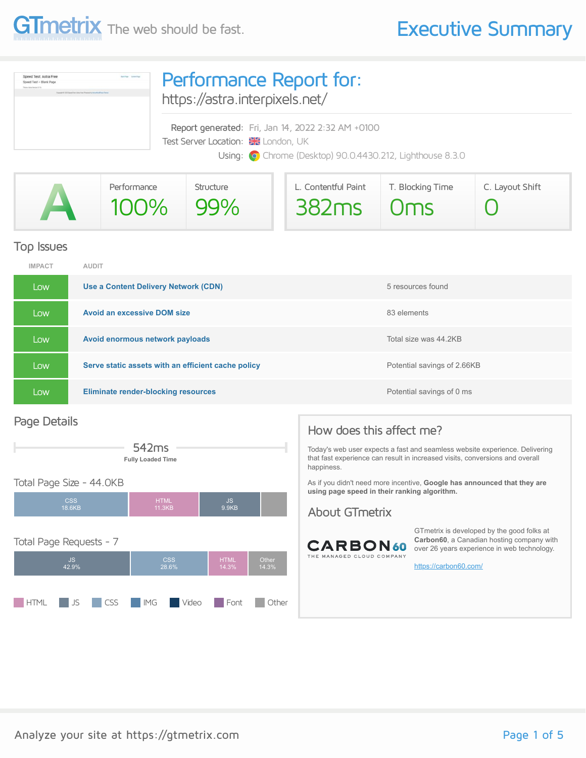

| Speed Test: Astra Free<br><b>Baltima</b> Symphoni<br>loeed Test - Blank Page<br>Dealers Scolar Herming, 3-74<br>Insurance at \$3.000 linear from dome-free (Research) to home that those Them | Performance Report for:<br>https://astra.interpixels.net/                                                                                            |  |  |  |  |
|-----------------------------------------------------------------------------------------------------------------------------------------------------------------------------------------------|------------------------------------------------------------------------------------------------------------------------------------------------------|--|--|--|--|
|                                                                                                                                                                                               | Report generated: Fri, Jan 14, 2022 2:32 AM +0100<br>Test Server Location: & London, UK<br>Using: O Chrome (Desktop) 90.0.4430.212, Lighthouse 8.3.0 |  |  |  |  |

| Performance | Structure | L. Contentful Paint | T. Blocking Time | C. Layout Shift |
|-------------|-----------|---------------------|------------------|-----------------|
| 100% 99%    |           | $382ms$ $0ms$       |                  |                 |

#### Top Issues

| <b>IMPACT</b> | <b>AUDIT</b>                                       |                             |
|---------------|----------------------------------------------------|-----------------------------|
| Low           | Use a Content Delivery Network (CDN)               | 5 resources found           |
| Low           | <b>Avoid an excessive DOM size</b>                 | 83 elements                 |
| Low           | Avoid enormous network payloads                    | Total size was 44.2KB       |
| Low           | Serve static assets with an efficient cache policy | Potential savings of 2.66KB |
| Low           | <b>Eliminate render-blocking resources</b>         | Potential savings of 0 ms   |

#### Page Details



#### Total Page Size - 44.0KB



#### How does this affect me?

Today's web user expects a fast and seamless website experience. Delivering that fast experience can result in increased visits, conversions and overall happiness.

As if you didn't need more incentive, **Google has announced that they are using page speed in their ranking algorithm.**

#### About GTmetrix



GTmetrix is developed by the good folks at **Carbon60**, a Canadian hosting company with over 26 years experience in web technology.

<https://carbon60.com/>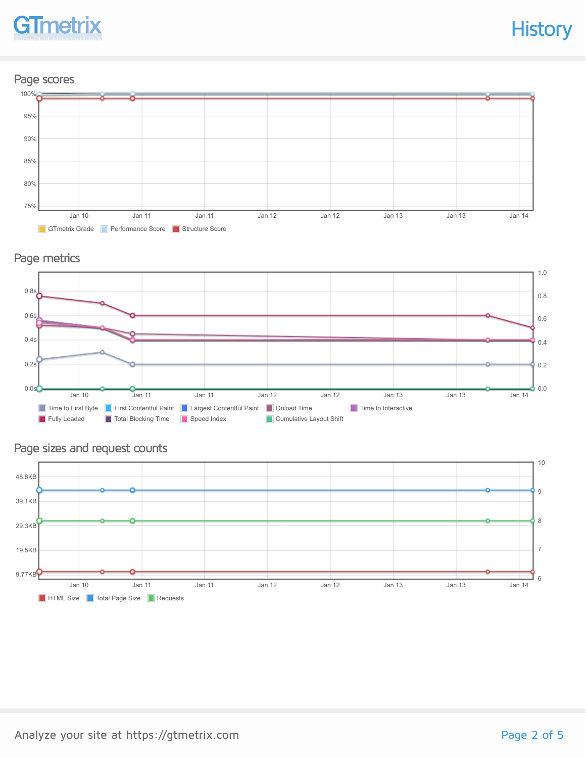

#### Page scores



#### Page metrics



#### Page sizes and request counts

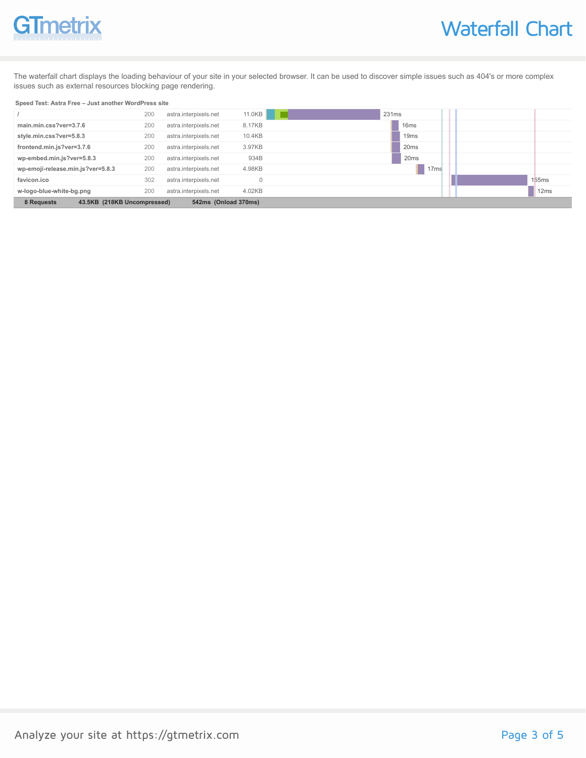# **GTmetrix**

The waterfall chart displays the loading behaviour of your site in your selected browser. It can be used to discover simple issues such as 404's or more complex issues such as external resources blocking page rendering.

#### **Speed Test: Astra Free – Just another WordPress site**

| 8 Requests<br>43.5KB (218KB Uncompressed) |     | 542ms (Onload 370ms)  |          |                  |       |
|-------------------------------------------|-----|-----------------------|----------|------------------|-------|
| w-logo-blue-white-bg.png                  | 200 | astra.interpixels.net | 4.02KB   |                  | 12ms  |
| favicon.ico                               | 302 | astra.interpixels.net | $\Omega$ |                  | 155ms |
| wp-emoji-release.min.js?ver=5.8.3         | 200 | astra.interpixels.net | 4.98KB   | 17 <sub>ms</sub> |       |
| wp-embed.min.js?ver=5.8.3                 | 200 | astra.interpixels.net | 934B     | 20 <sub>ms</sub> |       |
| frontend.min.js?ver=3.7.6                 | 200 | astra.interpixels.net | 3.97KB   | 20 <sub>ms</sub> |       |
| style.min.css?ver=5.8.3                   | 200 | astra.interpixels.net | 10.4KB   | 19 <sub>ms</sub> |       |
| main.min.css?ver=3.7.6                    | 200 | astra.interpixels.net | 8.17KB   | 16 <sub>ms</sub> |       |
|                                           | 200 | astra.interpixels.net | 11.0KB   | 231ms            |       |
|                                           |     |                       |          |                  |       |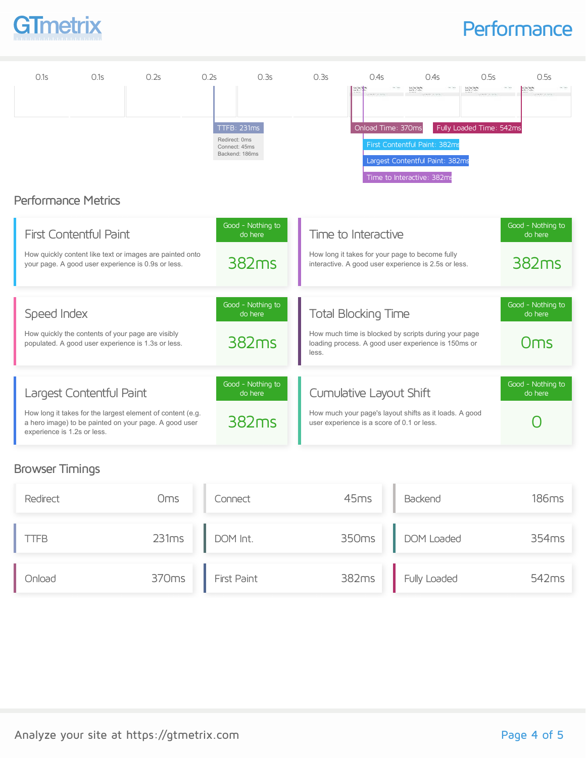

### **Performance**

| 0.1s                        | 0.1s                                                                                                                                            | 0.2s | 0.2s | 0.3s                                                            | 0.3s  | 0.4s                                                                  | 0.4s                                                                                                                              | 0.5s                                       | 0.5s                                              |
|-----------------------------|-------------------------------------------------------------------------------------------------------------------------------------------------|------|------|-----------------------------------------------------------------|-------|-----------------------------------------------------------------------|-----------------------------------------------------------------------------------------------------------------------------------|--------------------------------------------|---------------------------------------------------|
|                             | <b>Performance Metrics</b>                                                                                                                      |      |      | TTFB: 231ms<br>Redirect: 0ms<br>Connect: 45ms<br>Backend: 186ms |       | Onload Time: 370ms                                                    | London State<br>Service Control<br>First Contentful Paint: 382ms<br>Largest Contentful Paint: 382ms<br>Time to Interactive: 382ms | Louis Sections<br>Fully Loaded Time: 542ms |                                                   |
|                             | <b>First Contentful Paint</b><br>How quickly content like text or images are painted onto<br>your page. A good user experience is 0.9s or less. |      |      | Good - Nothing to<br>do here<br>382 <sub>ms</sub>               |       | Time to Interactive                                                   | How long it takes for your page to become fully<br>interactive. A good user experience is 2.5s or less.                           |                                            | Good - Nothing to<br>do here<br>382 <sub>ms</sub> |
| Speed Index                 | How quickly the contents of your page are visibly<br>populated. A good user experience is 1.3s or less.                                         |      |      | Good - Nothing to<br>do here<br>382 <sub>ms</sub>               | less. | <b>Total Blocking Time</b>                                            | How much time is blocked by scripts during your page<br>loading process. A good user experience is 150ms or                       |                                            | Good - Nothing to<br>do here<br>Oms               |
| experience is 1.2s or less. | Largest Contentful Paint<br>How long it takes for the largest element of content (e.g.<br>a hero image) to be painted on your page. A good user |      |      | Good - Nothing to<br>do here<br>382 <sub>ms</sub>               |       | Cumulative Layout Shift<br>user experience is a score of 0.1 or less. | How much your page's layout shifts as it loads. A good                                                                            |                                            | Good - Nothing to<br>do here                      |

### Browser Timings

| Redirect | Oms   | Connect            | 45ms  | Backend           | 186ms             |
|----------|-------|--------------------|-------|-------------------|-------------------|
| itteb.   | 231ms | DOM Int.           | 350ms | <b>DOM Loaded</b> | 354 <sub>ms</sub> |
| Onload   | 370ms | <b>First Paint</b> | 382ms | Fully Loaded      | 542 <sub>ms</sub> |